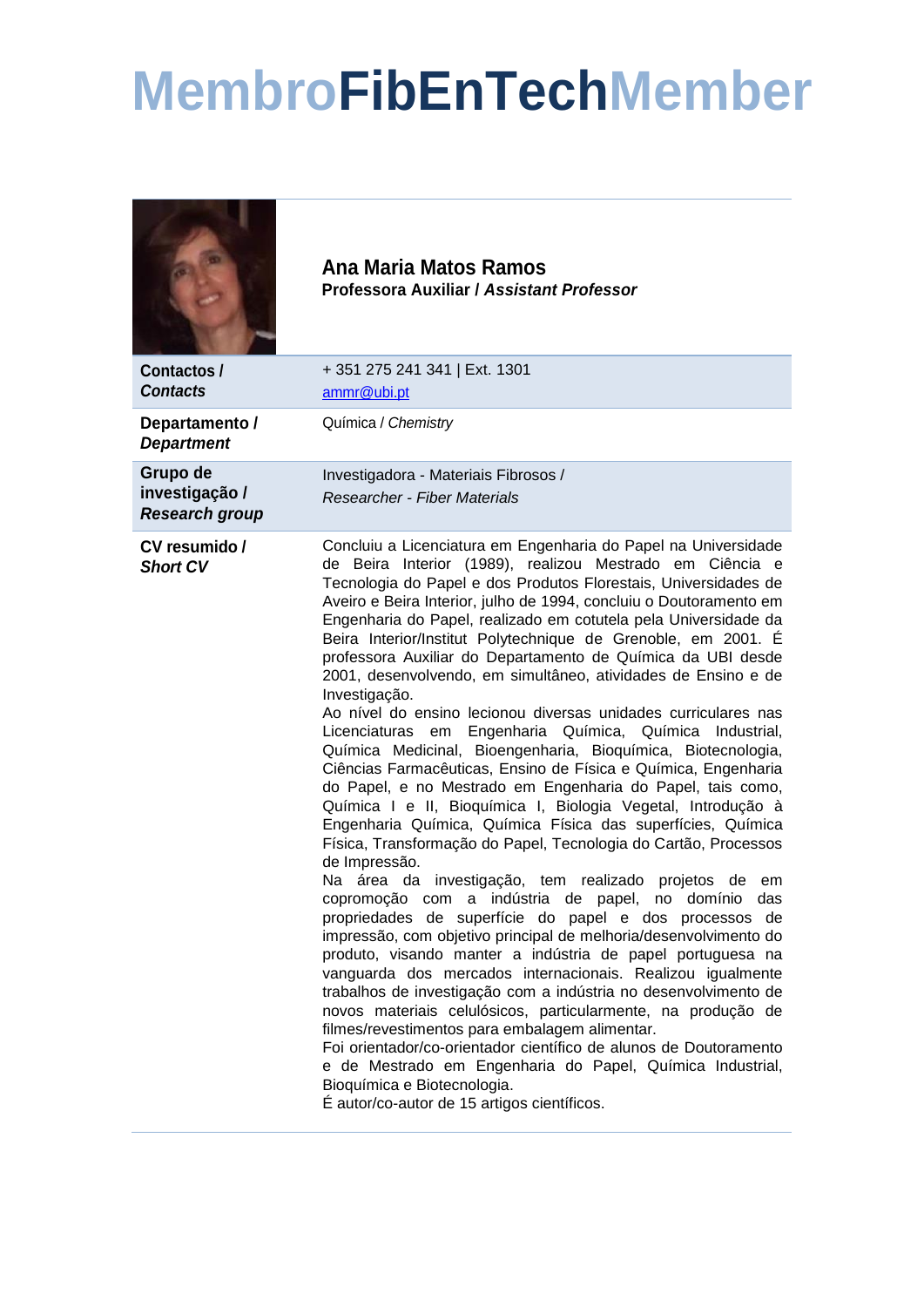## **MembroFibEnTechMember**

|                                                     | Ana Maria Matos Ramos<br>Professora Auxiliar / Assistant Professor                                                                                                                                                                                                                                                                                                                                                                                                                                                                                                                                                                                                                                                                                                                                                                                                                                                                                                                                                                                                                                                                                                                                                                                                                                                                                                                                                                                                                                                                                                                                                                                                                                                                                                                                                                                                                             |
|-----------------------------------------------------|------------------------------------------------------------------------------------------------------------------------------------------------------------------------------------------------------------------------------------------------------------------------------------------------------------------------------------------------------------------------------------------------------------------------------------------------------------------------------------------------------------------------------------------------------------------------------------------------------------------------------------------------------------------------------------------------------------------------------------------------------------------------------------------------------------------------------------------------------------------------------------------------------------------------------------------------------------------------------------------------------------------------------------------------------------------------------------------------------------------------------------------------------------------------------------------------------------------------------------------------------------------------------------------------------------------------------------------------------------------------------------------------------------------------------------------------------------------------------------------------------------------------------------------------------------------------------------------------------------------------------------------------------------------------------------------------------------------------------------------------------------------------------------------------------------------------------------------------------------------------------------------------|
| Contactos/<br><b>Contacts</b>                       | +351 275 241 341   Ext. 1301<br>ammr@ubi.pt                                                                                                                                                                                                                                                                                                                                                                                                                                                                                                                                                                                                                                                                                                                                                                                                                                                                                                                                                                                                                                                                                                                                                                                                                                                                                                                                                                                                                                                                                                                                                                                                                                                                                                                                                                                                                                                    |
| Departamento /<br><b>Department</b>                 | Química / Chemistry                                                                                                                                                                                                                                                                                                                                                                                                                                                                                                                                                                                                                                                                                                                                                                                                                                                                                                                                                                                                                                                                                                                                                                                                                                                                                                                                                                                                                                                                                                                                                                                                                                                                                                                                                                                                                                                                            |
| Grupo de<br>investigação /<br><b>Research group</b> | Investigadora - Materiais Fibrosos /<br><b>Researcher - Fiber Materials</b>                                                                                                                                                                                                                                                                                                                                                                                                                                                                                                                                                                                                                                                                                                                                                                                                                                                                                                                                                                                                                                                                                                                                                                                                                                                                                                                                                                                                                                                                                                                                                                                                                                                                                                                                                                                                                    |
| CV resumido /<br><b>Short CV</b>                    | Concluiu a Licenciatura em Engenharia do Papel na Universidade<br>de Beira Interior (1989), realizou Mestrado em Ciência e<br>Tecnologia do Papel e dos Produtos Florestais, Universidades de<br>Aveiro e Beira Interior, julho de 1994, concluiu o Doutoramento em<br>Engenharia do Papel, realizado em cotutela pela Universidade da<br>Beira Interior/Institut Polytechnique de Grenoble, em 2001. É<br>professora Auxiliar do Departamento de Química da UBI desde<br>2001, desenvolvendo, em simultâneo, atividades de Ensino e de<br>Investigação.<br>Ao nível do ensino lecionou diversas unidades curriculares nas<br>em Engenharia Química, Química Industrial,<br>Licenciaturas<br>Química Medicinal, Bioengenharia, Bioquímica, Biotecnologia,<br>Ciências Farmacêuticas, Ensino de Física e Química, Engenharia<br>do Papel, e no Mestrado em Engenharia do Papel, tais como,<br>Química I e II, Bioquímica I, Biologia Vegetal, Introdução à<br>Engenharia Química, Química Física das superfícies, Química<br>Física, Transformação do Papel, Tecnologia do Cartão, Processos<br>de Impressão.<br>Na área da investigação, tem realizado projetos de em<br>copromoção com a indústria de papel, no domínio<br>das<br>propriedades de superfície do papel e dos processos de<br>impressão, com objetivo principal de melhoria/desenvolvimento do<br>produto, visando manter a indústria de papel portuguesa na<br>vanguarda dos mercados internacionais. Realizou igualmente<br>trabalhos de investigação com a indústria no desenvolvimento de<br>novos materiais celulósicos, particularmente, na produção de<br>filmes/revestimentos para embalagem alimentar.<br>Foi orientador/co-orientador científico de alunos de Doutoramento<br>e de Mestrado em Engenharia do Papel, Química Industrial,<br>Bioquímica e Biotecnologia.<br>É autor/co-autor de 15 artigos científicos. |